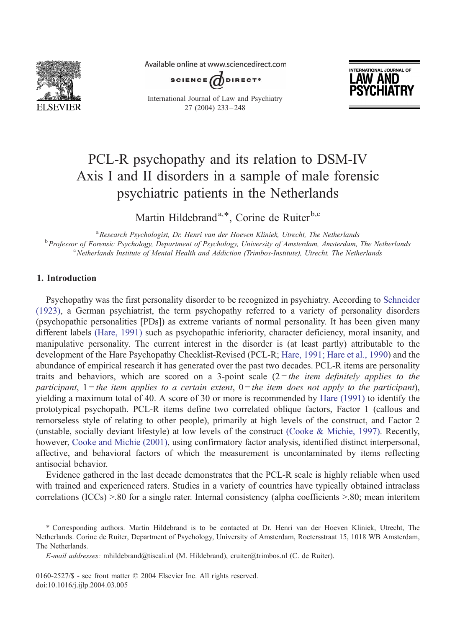

Available online at www.sciencedirect.com



International Journal of Law and Psychiatry 27 (2004) 233 – 248



# PCL-R psychopathy and its relation to DSM-IV Axis I and II disorders in a sample of male forensic psychiatric patients in the Netherlands

Martin Hildebrand<sup>a,\*</sup>, Corine de Ruiter<sup>b,c</sup>

<sup>a</sup> Research Psychologist, Dr. Henri van der Hoeven Kliniek, Utrecht, The Netherlands <sup>a</sup> Research Psychologist, Dr. Henri van der Hoeven Kliniek, Utrecht, The Netherlands<br><sup>b</sup> Professor of Forensie Psychology, Dengytment of Psychology, University of Amsterdam, Amsterdam Professor of Forensic Psychology, Department of Psychology, University of Amsterdam, Amsterdam, The Netherlands<br>Chatherlands Institute of Mantal Health and Addiction (Trimbos Institute), Utreakt, The Netherlands <sup>c</sup> Netherlands Institute of Mental Health and Addiction (Trimbos-Institute), Utrecht, The Netherlands

# 1. Introduction

Psychopathy was the first personality disorder to be recognized in psychiatry. According to [Schneider](#page-14-0) (1923), a German psychiatrist, the term psychopathy referred to a variety of personality disorders (psychopathic personalities [PDs]) as extreme variants of normal personality. It has been given many different labels [\(Hare, 1991\)](#page-13-0) such as psychopathic inferiority, character deficiency, moral insanity, and manipulative personality. The current interest in the disorder is (at least partly) attributable to the development of the Hare Psychopathy Checklist-Revised (PCL-R; [Hare, 1991; Hare et al., 1990\)](#page-13-0) and the abundance of empirical research it has generated over the past two decades. PCL-R items are personality traits and behaviors, which are scored on a 3-point scale  $(2 = the item definitely applies to the$ participant,  $1$  = the item applies to a certain extent,  $0$  = the item does not apply to the participant), yielding a maximum total of 40. A score of 30 or more is recommended by [Hare \(1991\)](#page-13-0) to identify the prototypical psychopath. PCL-R items define two correlated oblique factors, Factor 1 (callous and remorseless style of relating to other people), primarily at high levels of the construct, and Factor 2 (unstable, socially deviant lifestyle) at low levels of the construct [\(Cooke & Michie, 1997\).](#page-13-0) Recently, however, [Cooke and Michie \(2001\),](#page-13-0) using confirmatory factor analysis, identified distinct interpersonal, affective, and behavioral factors of which the measurement is uncontaminated by items reflecting antisocial behavior.

Evidence gathered in the last decade demonstrates that the PCL-R scale is highly reliable when used with trained and experienced raters. Studies in a variety of countries have typically obtained intraclass correlations (ICCs) >.80 for a single rater. Internal consistency (alpha coefficients >.80; mean interitem

<sup>\*</sup> Corresponding authors. Martin Hildebrand is to be contacted at Dr. Henri van der Hoeven Kliniek, Utrecht, The Netherlands. Corine de Ruiter, Department of Psychology, University of Amsterdam, Roetersstraat 15, 1018 WB Amsterdam, The Netherlands.

E-mail addresses: mhildebrand@tiscali.nl (M. Hildebrand), cruiter@trimbos.nl (C. de Ruiter).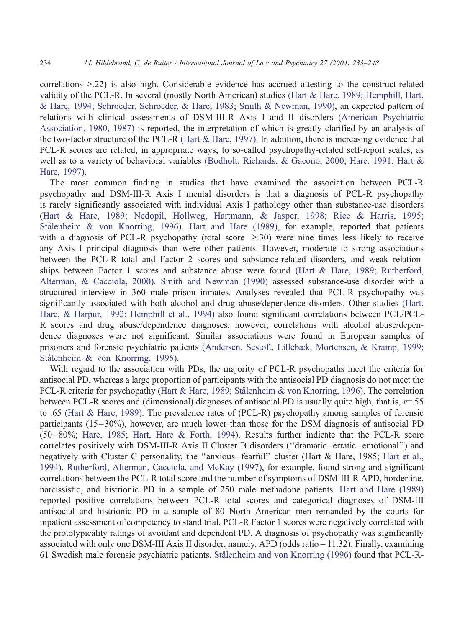correlations >.22) is also high. Considerable evidence has accrued attesting to the construct-related validity of the PCL-R. In several (mostly North American) studies [\(Hart & Hare, 1989; Hemphill, Hart,](#page-14-0) & Hare, 1994; Schroeder, Schroeder, & Hare, 1983; Smith & Newman, 1990), an expected pattern of relations with clinical assessments of DSM-III-R Axis I and II disorders [\(American Psychiatric](#page-13-0) Association, 1980, 1987) is reported, the interpretation of which is greatly clarified by an analysis of the two-factor structure of the PCL-R [\(Hart & Hare, 1997\).](#page-14-0) In addition, there is increasing evidence that PCL-R scores are related, in appropriate ways, to so-called psychopathy-related self-report scales, as well as to a variety of behavioral variables [\(Bodholt, Richards, & Gacono, 2000; Hare, 1991; Hart &](#page-13-0) Hare, 1997).

The most common finding in studies that have examined the association between PCL-R psychopathy and DSM-III-R Axis I mental disorders is that a diagnosis of PCL-R psychopathy is rarely significantly associated with individual Axis I pathology other than substance-use disorders ([Hart & Hare, 1989; Nedopil, Hollweg, Hartmann, & Jasper, 1998; Rice & Harris, 1995;](#page-14-0) Stålenheim & von Knorring, 1996). [Hart and Hare \(1989\),](#page-14-0) for example, reported that patients with a diagnosis of PCL-R psychopathy (total score  $\geq$  30) were nine times less likely to receive any Axis I principal diagnosis than were other patients. However, moderate to strong associations between the PCL-R total and Factor 2 scores and substance-related disorders, and weak relationships between Factor 1 scores and substance abuse were found [\(Hart & Hare, 1989; Rutherford,](#page-14-0) Alterman, & Cacciola, 2000). [Smith and Newman \(1990\)](#page-14-0) assessed substance-use disorder with a structured interview in 360 male prison inmates. Analyses revealed that PCL-R psychopathy was significantly associated with both alcohol and drug abuse/dependence disorders. Other studies [\(Hart,](#page-14-0) Hare, & Harpur, 1992; Hemphill et al., 1994) also found significant correlations between PCL/PCL-R scores and drug abuse/dependence diagnoses; however, correlations with alcohol abuse/dependence diagnoses were not significant. Similar associations were found in European samples of prisoners and forensic psychiatric patients [\(Andersen, Sestoft, Lillebæk, Mortensen, & Kramp, 1999;](#page-13-0) Stålenheim & von Knorring, 1996).

With regard to the association with PDs, the majority of PCL-R psychopaths meet the criteria for antisocial PD, whereas a large proportion of participants with the antisocial PD diagnosis do not meet the PCL-R criteria for psychopathy (Hart & Hare, 1989; Stålenheim & von Knorring, 1996). The correlation between PCL-R scores and (dimensional) diagnoses of antisocial PD is usually quite high, that is,  $r=0.55$ to .65 [\(Hart & Hare, 1989\).](#page-14-0) The prevalence rates of (PCL-R) psychopathy among samples of forensic participants (15–30%), however, are much lower than those for the DSM diagnosis of antisocial PD (50–80%; [Hare, 1985; Hart, Hare & Forth, 1994\)](#page-13-0). Results further indicate that the PCL-R score correlates positively with DSM-III-R Axis II Cluster B disorders (''dramatic–erratic–emotional'') and negatively with Cluster C personality, the ''anxious– fearful'' cluster (Hart & Hare, 1985; [Hart et al.,](#page-14-0) 1994). [Rutherford, Alterman, Cacciola, and McKay \(1997\),](#page-14-0) for example, found strong and significant correlations between the PCL-R total score and the number of symptoms of DSM-III-R APD, borderline, narcissistic, and histrionic PD in a sample of 250 male methadone patients. [Hart and Hare \(1989\)](#page-14-0) reported positive correlations between PCL-R total scores and categorical diagnoses of DSM-III antisocial and histrionic PD in a sample of 80 North American men remanded by the courts for inpatient assessment of competency to stand trial. PCL-R Factor 1 scores were negatively correlated with the prototypicality ratings of avoidant and dependent PD. A diagnosis of psychopathy was significantly associated with only one DSM-III Axis II disorder, namely, APD (odds ratio = 11.32). Finally, examining 61 Swedish male forensic psychiatric patients, Stålenheim and von Knorring (1996) found that PCL-R-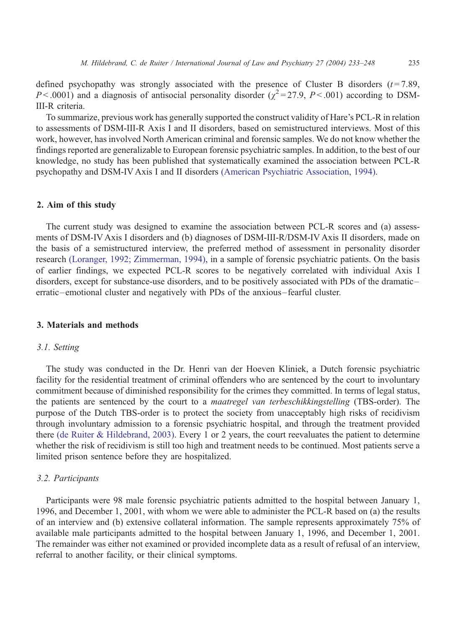defined psychopathy was strongly associated with the presence of Cluster B disorders  $(t=7.89)$ ,  $P < .0001$ ) and a diagnosis of antisocial personality disorder ( $\chi^2 = 27.9$ ,  $P < .001$ ) according to DSM-III-R criteria.

To summarize, previous work has generally supported the construct validity of Hare's PCL-R in relation to assessments of DSM-III-R Axis I and II disorders, based on semistructured interviews. Most of this work, however, has involved North American criminal and forensic samples. We do not know whether the findings reported are generalizable to European forensic psychiatric samples. In addition, to the best of our knowledge, no study has been published that systematically examined the association between PCL-R psychopathy and DSM-IV Axis I and II disorders [\(American Psychiatric Association, 1994\).](#page-13-0)

## 2. Aim of this study

The current study was designed to examine the association between PCL-R scores and (a) assessments of DSM-IV Axis I disorders and (b) diagnoses of DSM-III-R/DSM-IV Axis II disorders, made on the basis of a semistructured interview, the preferred method of assessment in personality disorder research [\(Loranger, 1992; Zimmerman, 1994\),](#page-14-0) in a sample of forensic psychiatric patients. On the basis of earlier findings, we expected PCL-R scores to be negatively correlated with individual Axis I disorders, except for substance-use disorders, and to be positively associated with PDs of the dramatic– erratic–emotional cluster and negatively with PDs of the anxious– fearful cluster.

## 3. Materials and methods

## 3.1. Setting

The study was conducted in the Dr. Henri van der Hoeven Kliniek, a Dutch forensic psychiatric facility for the residential treatment of criminal offenders who are sentenced by the court to involuntary commitment because of diminished responsibility for the crimes they committed. In terms of legal status, the patients are sentenced by the court to a maatregel van terbeschikkingstelling (TBS-order). The purpose of the Dutch TBS-order is to protect the society from unacceptably high risks of recidivism through involuntary admission to a forensic psychiatric hospital, and through the treatment provided there [\(de Ruiter & Hildebrand, 2003\).](#page-13-0) Every 1 or 2 years, the court reevaluates the patient to determine whether the risk of recidivism is still too high and treatment needs to be continued. Most patients serve a limited prison sentence before they are hospitalized.

#### 3.2. Participants

Participants were 98 male forensic psychiatric patients admitted to the hospital between January 1, 1996, and December 1, 2001, with whom we were able to administer the PCL-R based on (a) the results of an interview and (b) extensive collateral information. The sample represents approximately 75% of available male participants admitted to the hospital between January 1, 1996, and December 1, 2001. The remainder was either not examined or provided incomplete data as a result of refusal of an interview, referral to another facility, or their clinical symptoms.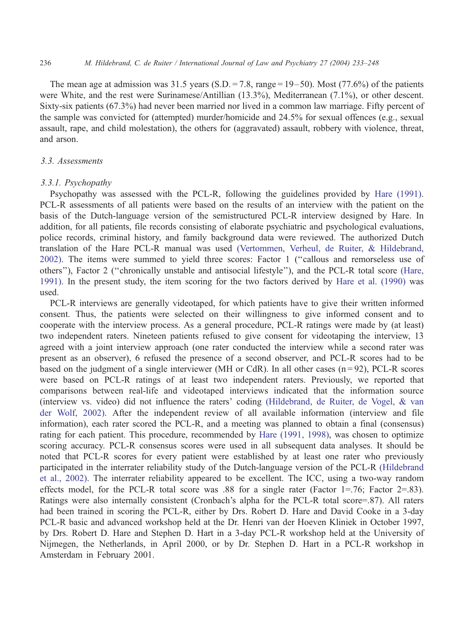#### 236 M. Hildebrand, C. de Ruiter / International Journal of Law and Psychiatry 27 (2004) 233–248

The mean age at admission was 31.5 years (S.D. = 7.8, range =  $19-50$ ). Most (77.6%) of the patients were White, and the rest were Surinamese/Antillian (13.3%), Mediterranean (7.1%), or other descent. Sixty-six patients (67.3%) had never been married nor lived in a common law marriage. Fifty percent of the sample was convicted for (attempted) murder/homicide and 24.5% for sexual offences (e.g., sexual assault, rape, and child molestation), the others for (aggravated) assault, robbery with violence, threat, and arson.

## 3.3. Assessments

## 3.3.1. Psychopathy

Psychopathy was assessed with the PCL-R, following the guidelines provided by [Hare \(1991\).](#page-13-0) PCL-R assessments of all patients were based on the results of an interview with the patient on the basis of the Dutch-language version of the semistructured PCL-R interview designed by Hare. In addition, for all patients, file records consisting of elaborate psychiatric and psychological evaluations, police records, criminal history, and family background data were reviewed. The authorized Dutch translation of the Hare PCL-R manual was used [\(Vertommen, Verheul, de Ruiter, & Hildebrand,](#page-14-0) 2002). The items were summed to yield three scores: Factor 1 (''callous and remorseless use of others''), Factor 2 (''chronically unstable and antisocial lifestyle''), and the PCL-R total score [\(Hare,](#page-13-0) 1991). In the present study, the item scoring for the two factors derived by [Hare et al. \(1990\)](#page-13-0) was used.

PCL-R interviews are generally videotaped, for which patients have to give their written informed consent. Thus, the patients were selected on their willingness to give informed consent and to cooperate with the interview process. As a general procedure, PCL-R ratings were made by (at least) two independent raters. Nineteen patients refused to give consent for videotaping the interview, 13 agreed with a joint interview approach (one rater conducted the interview while a second rater was present as an observer), 6 refused the presence of a second observer, and PCL-R scores had to be based on the judgment of a single interviewer (MH or CdR). In all other cases  $(n=92)$ , PCL-R scores were based on PCL-R ratings of at least two independent raters. Previously, we reported that comparisons between real-life and videotaped interviews indicated that the information source (interview vs. video) did not influence the raters' coding [\(Hildebrand, de Ruiter, de Vogel, & van](#page-14-0) der Wolf, 2002). After the independent review of all available information (interview and file information), each rater scored the PCL-R, and a meeting was planned to obtain a final (consensus) rating for each patient. This procedure, recommended by [Hare \(1991, 1998\),](#page-13-0) was chosen to optimize scoring accuracy. PCL-R consensus scores were used in all subsequent data analyses. It should be noted that PCL-R scores for every patient were established by at least one rater who previously participated in the interrater reliability study of the Dutch-language version of the PCL-R [\(Hildebrand](#page-14-0) et al., 2002). The interrater reliability appeared to be excellent. The ICC, using a two-way random effects model, for the PCL-R total score was .88 for a single rater (Factor 1=.76; Factor 2=.83). Ratings were also internally consistent (Cronbach's alpha for the PCL-R total score=.87). All raters had been trained in scoring the PCL-R, either by Drs. Robert D. Hare and David Cooke in a 3-day PCL-R basic and advanced workshop held at the Dr. Henri van der Hoeven Kliniek in October 1997, by Drs. Robert D. Hare and Stephen D. Hart in a 3-day PCL-R workshop held at the University of Nijmegen, the Netherlands, in April 2000, or by Dr. Stephen D. Hart in a PCL-R workshop in Amsterdam in February 2001.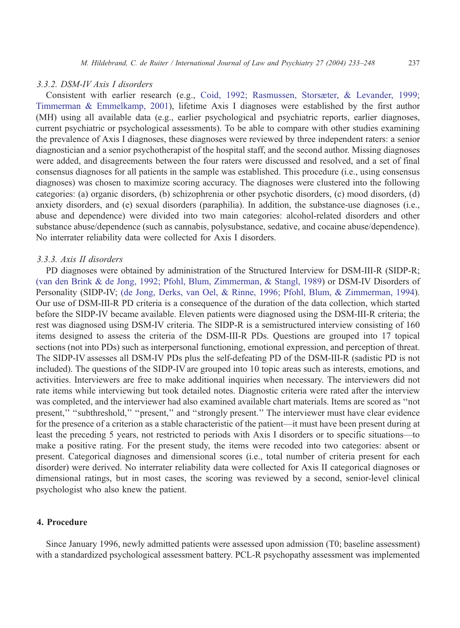#### 3.3.2. DSM-IV Axis I disorders

Consistent with earlier research (e.g., [Coid, 1992; Rasmussen, Storsæter, & Levander, 1999;](#page-13-0) Timmerman & Emmelkamp, 2001), lifetime Axis I diagnoses were established by the first author (MH) using all available data (e.g., earlier psychological and psychiatric reports, earlier diagnoses, current psychiatric or psychological assessments). To be able to compare with other studies examining the prevalence of Axis I diagnoses, these diagnoses were reviewed by three independent raters: a senior diagnostician and a senior psychotherapist of the hospital staff, and the second author. Missing diagnoses were added, and disagreements between the four raters were discussed and resolved, and a set of final consensus diagnoses for all patients in the sample was established. This procedure (i.e., using consensus diagnoses) was chosen to maximize scoring accuracy. The diagnoses were clustered into the following categories: (a) organic disorders, (b) schizophrenia or other psychotic disorders, (c) mood disorders, (d) anxiety disorders, and (e) sexual disorders (paraphilia). In addition, the substance-use diagnoses (i.e., abuse and dependence) were divided into two main categories: alcohol-related disorders and other substance abuse/dependence (such as cannabis, polysubstance, sedative, and cocaine abuse/dependence). No interrater reliability data were collected for Axis I disorders.

## 3.3.3. Axis II disorders

PD diagnoses were obtained by administration of the Structured Interview for DSM-III-R (SIDP-R; [\(van den Brink & de Jong, 1992; Pfohl, Blum, Zimmerman, & Stangl, 1989\)](#page-14-0) or DSM-IV Disorders of Personality (SIDP-IV; [\(de Jong, Derks, van Oel, & Rinne, 1996; Pfohl, Blum, & Zimmerman, 1994\)](#page-13-0). Our use of DSM-III-R PD criteria is a consequence of the duration of the data collection, which started before the SIDP-IV became available. Eleven patients were diagnosed using the DSM-III-R criteria; the rest was diagnosed using DSM-IV criteria. The SIDP-R is a semistructured interview consisting of 160 items designed to assess the criteria of the DSM-III-R PDs. Questions are grouped into 17 topical sections (not into PDs) such as interpersonal functioning, emotional expression, and perception of threat. The SIDP-IV assesses all DSM-IV PDs plus the self-defeating PD of the DSM-III-R (sadistic PD is not included). The questions of the SIDP-IV are grouped into 10 topic areas such as interests, emotions, and activities. Interviewers are free to make additional inquiries when necessary. The interviewers did not rate items while interviewing but took detailed notes. Diagnostic criteria were rated after the interview was completed, and the interviewer had also examined available chart materials. Items are scored as ''not present," "subthreshold," "present," and "strongly present." The interviewer must have clear evidence for the presence of a criterion as a stable characteristic of the patient—it must have been present during at least the preceding 5 years, not restricted to periods with Axis I disorders or to specific situations—to make a positive rating. For the present study, the items were recoded into two categories: absent or present. Categorical diagnoses and dimensional scores (i.e., total number of criteria present for each disorder) were derived. No interrater reliability data were collected for Axis II categorical diagnoses or dimensional ratings, but in most cases, the scoring was reviewed by a second, senior-level clinical psychologist who also knew the patient.

# 4. Procedure

Since January 1996, newly admitted patients were assessed upon admission (T0; baseline assessment) with a standardized psychological assessment battery. PCL-R psychopathy assessment was implemented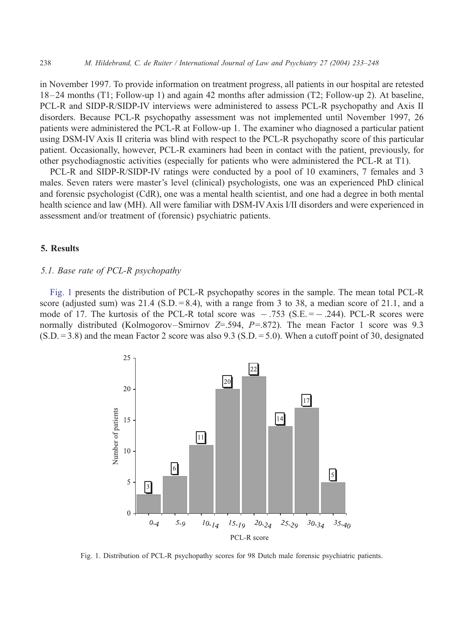in November 1997. To provide information on treatment progress, all patients in our hospital are retested 18–24 months (T1; Follow-up 1) and again 42 months after admission (T2; Follow-up 2). At baseline, PCL-R and SIDP-R/SIDP-IV interviews were administered to assess PCL-R psychopathy and Axis II disorders. Because PCL-R psychopathy assessment was not implemented until November 1997, 26 patients were administered the PCL-R at Follow-up 1. The examiner who diagnosed a particular patient using DSM-IV Axis II criteria was blind with respect to the PCL-R psychopathy score of this particular patient. Occasionally, however, PCL-R examiners had been in contact with the patient, previously, for other psychodiagnostic activities (especially for patients who were administered the PCL-R at T1).

PCL-R and SIDP-R/SIDP-IV ratings were conducted by a pool of 10 examiners, 7 females and 3 males. Seven raters were master's level (clinical) psychologists, one was an experienced PhD clinical and forensic psychologist (CdR), one was a mental health scientist, and one had a degree in both mental health science and law (MH). All were familiar with DSM-IV Axis I/II disorders and were experienced in assessment and/or treatment of (forensic) psychiatric patients.

# 5. Results

#### 5.1. Base rate of PCL-R psychopathy

Fig. 1 presents the distribution of PCL-R psychopathy scores in the sample. The mean total PCL-R score (adjusted sum) was 21.4 (S.D.  $= 8.4$ ), with a range from 3 to 38, a median score of 21.1, and a mode of 17. The kurtosis of the PCL-R total score was  $-.753$  (S.E. =  $-.244$ ). PCL-R scores were normally distributed (Kolmogorov–Smirnov  $Z=594$ ,  $P=872$ ). The mean Factor 1 score was 9.3  $(S.D. = 3.8)$  and the mean Factor 2 score was also 9.3 (S.D. = 5.0). When a cutoff point of 30, designated



Fig. 1. Distribution of PCL-R psychopathy scores for 98 Dutch male forensic psychiatric patients.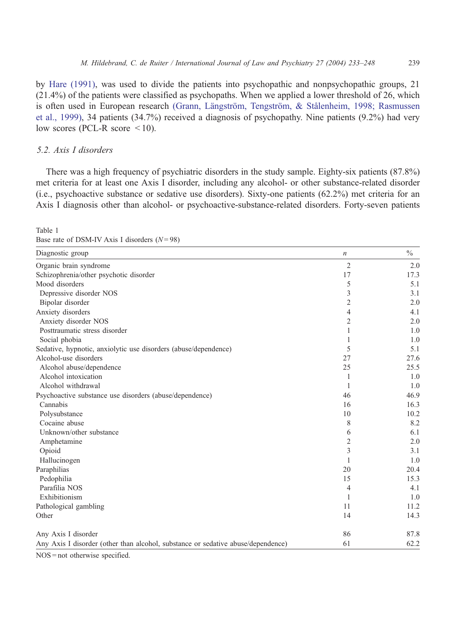<span id="page-6-0"></span>by [Hare \(1991\),](#page-13-0) was used to divide the patients into psychopathic and nonpsychopathic groups, 21 (21.4%) of the patients were classified as psychopaths. When we applied a lower threshold of 26, which is often used in European research (Grann, Längström, Tengström, & Stålenheim, 1998; Rasmussen et al., 1999), 34 patients (34.7%) received a diagnosis of psychopathy. Nine patients (9.2%) had very low scores (PCL-R score  $\leq 10$ ).

## 5.2. Axis I disorders

Table 1

There was a high frequency of psychiatric disorders in the study sample. Eighty-six patients (87.8%) met criteria for at least one Axis I disorder, including any alcohol- or other substance-related disorder (i.e., psychoactive substance or sedative use disorders). Sixty-one patients (62.2%) met criteria for an Axis I diagnosis other than alcohol- or psychoactive-substance-related disorders. Forty-seven patients

| Diagnostic group                                                                 | $\boldsymbol{n}$ | $\frac{0}{0}$ |
|----------------------------------------------------------------------------------|------------------|---------------|
| Organic brain syndrome                                                           | $\mathfrak{2}$   | 2.0           |
| Schizophrenia/other psychotic disorder                                           | 17               | 17.3          |
| Mood disorders                                                                   | 5                | 5.1           |
| Depressive disorder NOS                                                          | 3                | 3.1           |
| Bipolar disorder                                                                 | 2                | 2.0           |
| Anxiety disorders                                                                | 4                | 4.1           |
| Anxiety disorder NOS                                                             | 2                | 2.0           |
| Posttraumatic stress disorder                                                    | 1                | 1.0           |
| Social phobia                                                                    |                  | 1.0           |
| Sedative, hypnotic, anxiolytic use disorders (abuse/dependence)                  | 5                | 5.1           |
| Alcohol-use disorders                                                            | 27               | 27.6          |
| Alcohol abuse/dependence                                                         | 25               | 25.5          |
| Alcohol intoxication                                                             | 1                | 1.0           |
| Alcohol withdrawal                                                               | 1                | 1.0           |
| Psychoactive substance use disorders (abuse/dependence)                          | 46               | 46.9          |
| Cannabis                                                                         | 16               | 16.3          |
| Polysubstance                                                                    | 10               | 10.2          |
| Cocaine abuse                                                                    | 8                | 8.2           |
| Unknown/other substance                                                          | 6                | 6.1           |
| Amphetamine                                                                      | 2                | 2.0           |
| Opioid                                                                           | 3                | 3.1           |
| Hallucinogen                                                                     | 1                | 1.0           |
| Paraphilias                                                                      | 20               | 20.4          |
| Pedophilia                                                                       | 15               | 15.3          |
| Parafilia NOS                                                                    | 4                | 4.1           |
| Exhibitionism                                                                    | 1                | 1.0           |
| Pathological gambling                                                            | 11               | 11.2          |
| Other                                                                            | 14               | 14.3          |
| Any Axis I disorder                                                              | 86               | 87.8          |
| Any Axis I disorder (other than alcohol, substance or sedative abuse/dependence) | 61               | 62.2          |

Base rate of DSM-IV Axis I disorders  $(N = 98)$ 

NOS = not otherwise specified.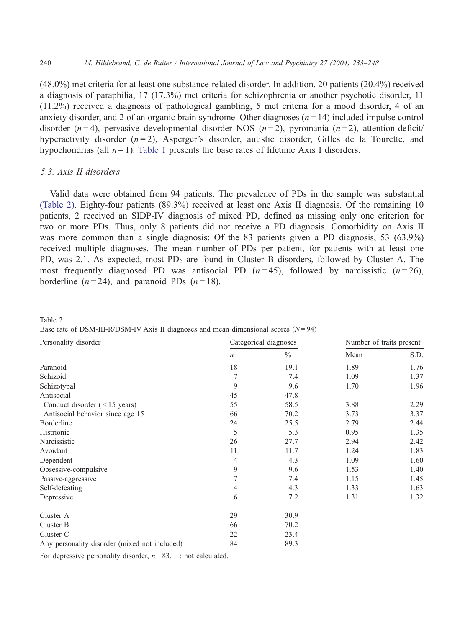(48.0%) met criteria for at least one substance-related disorder. In addition, 20 patients (20.4%) received a diagnosis of paraphilia, 17 (17.3%) met criteria for schizophrenia or another psychotic disorder, 11 (11.2%) received a diagnosis of pathological gambling, 5 met criteria for a mood disorder, 4 of an anxiety disorder, and 2 of an organic brain syndrome. Other diagnoses  $(n = 14)$  included impulse control disorder (n=4), pervasive developmental disorder NOS (n=2), pyromania (n=2), attention-deficit/ hyperactivity disorder  $(n=2)$ , Asperger's disorder, autistic disorder, Gilles de la Tourette, and hypochondrias (all  $n = 1$ ). [Table 1](#page-6-0) presents the base rates of lifetime Axis I disorders.

# 5.3. Axis II disorders

Table 2

Valid data were obtained from 94 patients. The prevalence of PDs in the sample was substantial (Table 2). Eighty-four patients (89.3%) received at least one Axis II diagnosis. Of the remaining 10 patients, 2 received an SIDP-IV diagnosis of mixed PD, defined as missing only one criterion for two or more PDs. Thus, only 8 patients did not receive a PD diagnosis. Comorbidity on Axis II was more common than a single diagnosis: Of the 83 patients given a PD diagnosis, 53 (63.9%) received multiple diagnoses. The mean number of PDs per patient, for patients with at least one PD, was 2.1. As expected, most PDs are found in Cluster B disorders, followed by Cluster A. The most frequently diagnosed PD was antisocial PD  $(n=45)$ , followed by narcissistic  $(n=26)$ , borderline  $(n=24)$ , and paranoid PDs  $(n=18)$ .

| Personality disorder                          |                  | Categorical diagnoses | Number of traits present |      |
|-----------------------------------------------|------------------|-----------------------|--------------------------|------|
|                                               | $\boldsymbol{n}$ | $\frac{0}{0}$         | Mean                     | S.D. |
| Paranoid                                      | 18               | 19.1                  | 1.89                     | 1.76 |
| Schizoid                                      | 7                | 7.4                   | 1.09                     | 1.37 |
| Schizotypal                                   | 9                | 9.6                   | 1.70                     | 1.96 |
| Antisocial                                    | 45               | 47.8                  |                          |      |
| Conduct disorder $(<15$ years)                | 55               | 58.5                  | 3.88                     | 2.29 |
| Antisocial behavior since age 15              | 66               | 70.2                  | 3.73                     | 3.37 |
| Borderline                                    | 24               | 25.5                  | 2.79                     | 2.44 |
| Histrionic                                    | 5                | 5.3                   | 0.95                     | 1.35 |
| Narcissistic                                  | 26               | 27.7                  | 2.94                     | 2.42 |
| Avoidant                                      | 11               | 11.7                  | 1.24                     | 1.83 |
| Dependent                                     | 4                | 4.3                   | 1.09                     | 1.60 |
| Obsessive-compulsive                          | 9                | 9.6                   | 1.53                     | 1.40 |
| Passive-aggressive                            | 7                | 7.4                   | 1.15                     | 1.45 |
| Self-defeating                                | 4                | 4.3                   | 1.33                     | 1.63 |
| Depressive                                    | 6                | 7.2                   | 1.31                     | 1.32 |
| Cluster A                                     | 29               | 30.9                  |                          |      |
| Cluster B                                     | 66               | 70.2                  |                          |      |
| Cluster C                                     | 22               | 23.4                  |                          |      |
| Any personality disorder (mixed not included) | 84               | 89.3                  |                          |      |

Base rate of DSM-III-R/DSM-IV Axis II diagnoses and mean dimensional scores  $(N=94)$ 

For depressive personality disorder,  $n = 83$ . –: not calculated.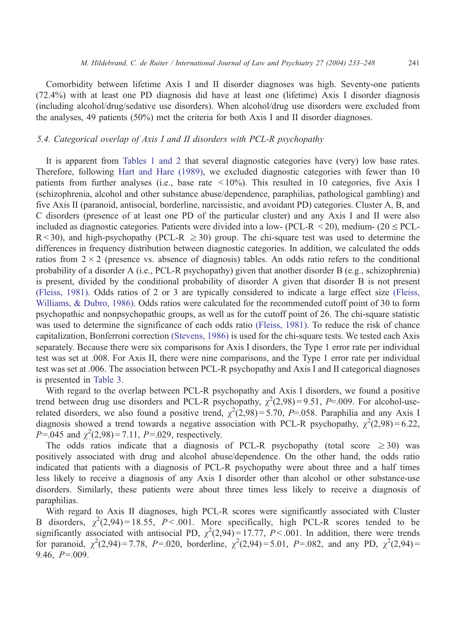Comorbidity between lifetime Axis I and II disorder diagnoses was high. Seventy-one patients (72.4%) with at least one PD diagnosis did have at least one (lifetime) Axis I disorder diagnosis (including alcohol/drug/sedative use disorders). When alcohol/drug use disorders were excluded from the analyses, 49 patients (50%) met the criteria for both Axis I and II disorder diagnoses.

# 5.4. Categorical overlap of Axis I and II disorders with PCL-R psychopathy

It is apparent from [Tables 1 and 2](#page-6-0) that several diagnostic categories have (very) low base rates. Therefore, following [Hart and Hare \(1989\),](#page-14-0) we excluded diagnostic categories with fewer than 10 patients from further analyses (i.e., base rate < 10%). This resulted in 10 categories, five Axis I (schizophrenia, alcohol and other substance abuse/dependence, paraphilias, pathological gambling) and five Axis II (paranoid, antisocial, borderline, narcissistic, and avoidant PD) categories. Cluster A, B, and C disorders (presence of at least one PD of the particular cluster) and any Axis I and II were also included as diagnostic categories. Patients were divided into a low- (PCL-R  $\leq$  20), medium- (20  $\leq$  PCL- $R < 30$ ), and high-psychopathy (PCL-R  $\geq 30$ ) group. The chi-square test was used to determine the differences in frequency distribution between diagnostic categories. In addition, we calculated the odds ratios from  $2 \times 2$  (presence vs. absence of diagnosis) tables. An odds ratio refers to the conditional probability of a disorder A (i.e., PCL-R psychopathy) given that another disorder B (e.g., schizophrenia) is present, divided by the conditional probability of disorder A given that disorder B is not present [\(Fleiss, 1981\)](#page-13-0). Odds ratios of 2 or 3 are typically considered to indicate a large effect size [\(Fleiss,](#page-13-0) Williams, & Dubro, 1986). Odds ratios were calculated for the recommended cutoff point of 30 to form psychopathic and nonpsychopathic groups, as well as for the cutoff point of 26. The chi-square statistic was used to determine the significance of each odds ratio [\(Fleiss, 1981\).](#page-13-0) To reduce the risk of chance capitalization, Bonferroni correction [\(Stevens, 1986\)](#page-14-0) is used for the chi-square tests. We tested each Axis separately. Because there were six comparisons for Axis I disorders, the Type 1 error rate per individual test was set at .008. For Axis II, there were nine comparisons, and the Type 1 error rate per individual test was set at .006. The association between PCL-R psychopathy and Axis I and II categorical diagnoses is presented in [Table 3.](#page-9-0)

With regard to the overlap between PCL-R psychopathy and Axis I disorders, we found a positive trend between drug use disorders and PCL-R psychopathy,  $\chi^2(2,98) = 9.51$ , P=.009. For alcohol-userelated disorders, we also found a positive trend,  $\chi^2(2.98) = 5.70$ , P=.058. Paraphilia and any Axis I diagnosis showed a trend towards a negative association with PCL-R psychopathy,  $\chi^2(2.98) = 6.22$ ,  $P = 0.045$  and  $\chi^2(2.98) = 7.11$ ,  $P = 0.029$ , respectively.

The odds ratios indicate that a diagnosis of PCL-R psychopathy (total score  $\geq$  30) was positively associated with drug and alcohol abuse/dependence. On the other hand, the odds ratio indicated that patients with a diagnosis of PCL-R psychopathy were about three and a half times less likely to receive a diagnosis of any Axis I disorder other than alcohol or other substance-use disorders. Similarly, these patients were about three times less likely to receive a diagnosis of paraphilias.

With regard to Axis II diagnoses, high PCL-R scores were significantly associated with Cluster B disorders,  $\chi^2(2,94) = 18.55$ ,  $P < .001$ . More specifically, high PCL-R scores tended to be significantly associated with antisocial PD,  $\chi^2(2,94) = 17.77$ ,  $P < .001$ . In addition, there were trends for paranoid,  $\chi^2(2,94) = 7.78$ , P=.020, borderline,  $\chi^2(2,94) = 5.01$ , P=.082, and any PD,  $\chi^2(2,94) =$ 9.46,  $P=.009$ .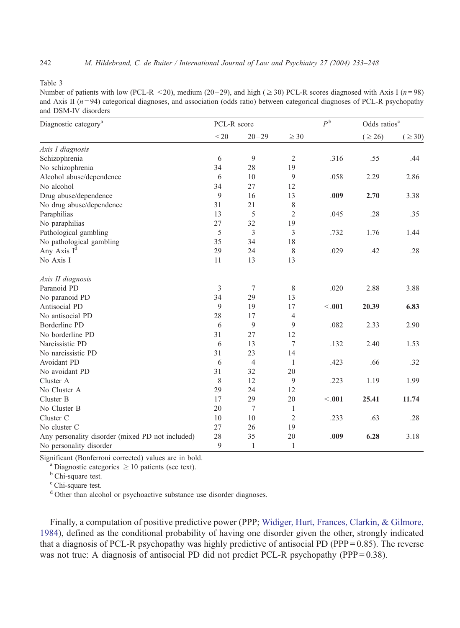<span id="page-9-0"></span>Table 3

Number of patients with low (PCL-R < 20), medium (20–29), and high ( $\geq$  30) PCL-R scores diagnosed with Axis I ( $n = 98$ ) and Axis II  $(n=94)$  categorical diagnoses, and association (odds ratio) between categorical diagnoses of PCL-R psychopathy and DSM-IV disorders

| Diagnostic category <sup>a</sup>                 | PCL-R score |                |                | $P^{\mathfrak{b}}$ | Odds ratios <sup>c</sup> |             |
|--------------------------------------------------|-------------|----------------|----------------|--------------------|--------------------------|-------------|
|                                                  | < 20        | $20 - 29$      | $\geq 30$      |                    | $( \ge 26)$              | $( \ge 30)$ |
| Axis I diagnosis                                 |             |                |                |                    |                          |             |
| Schizophrenia                                    | 6           | 9              | $\sqrt{2}$     | .316               | .55                      | .44         |
| No schizophrenia                                 | 34          | 28             | 19             |                    |                          |             |
| Alcohol abuse/dependence                         | 6           | 10             | 9              | .058               | 2.29                     | 2.86        |
| No alcohol                                       | 34          | 27             | 12             |                    |                          |             |
| Drug abuse/dependence                            | 9           | 16             | 13             | .009               | 2.70                     | 3.38        |
| No drug abuse/dependence                         | 31          | 21             | $\,$ $\,$      |                    |                          |             |
| Paraphilias                                      | 13          | 5              | $\overline{c}$ | .045               | .28                      | .35         |
| No paraphilias                                   | 27          | 32             | 19             |                    |                          |             |
| Pathological gambling                            | 5           | 3              | 3              | .732               | 1.76                     | 1.44        |
| No pathological gambling                         | 35          | 34             | 18             |                    |                          |             |
| Any Axis $I^d$                                   | 29          | 24             | 8              | .029               | .42                      | .28         |
| No Axis I                                        | 11          | 13             | 13             |                    |                          |             |
| Axis II diagnosis                                |             |                |                |                    |                          |             |
| Paranoid PD                                      | 3           | $\overline{7}$ | 8              | .020               | 2.88                     | 3.88        |
| No paranoid PD                                   | 34          | 29             | 13             |                    |                          |             |
| Antisocial PD                                    | 9           | 19             | 17             | < 0.01             | 20.39                    | 6.83        |
| No antisocial PD                                 | 28          | 17             | $\overline{4}$ |                    |                          |             |
| <b>Borderline PD</b>                             | 6           | 9              | 9              | .082               | 2.33                     | 2.90        |
| No borderline PD                                 | 31          | 27             | 12             |                    |                          |             |
| Narcissistic PD                                  | 6           | 13             | $\tau$         | .132               | 2.40                     | 1.53        |
| No narcissistic PD                               | 31          | 23             | 14             |                    |                          |             |
| Avoidant PD                                      | 6           | $\overline{4}$ | $\mathbf{1}$   | .423               | .66                      | .32         |
| No avoidant PD                                   | 31          | 32             | 20             |                    |                          |             |
| Cluster A                                        | 8           | 12             | 9              | .223               | 1.19                     | 1.99        |
| No Cluster A                                     | 29          | 24             | 12             |                    |                          |             |
| Cluster B                                        | 17          | 29             | 20             | < 0.01             | 25.41                    | 11.74       |
| No Cluster B                                     | 20          | $\overline{7}$ | $\mathbf{1}$   |                    |                          |             |
| Cluster C                                        | 10          | 10             | $\mathfrak{2}$ | .233               | .63                      | .28         |
| No cluster C                                     | 27          | 26             | 19             |                    |                          |             |
| Any personality disorder (mixed PD not included) | 28          | 35             | 20             | .009               | 6.28                     | 3.18        |
| No personality disorder                          | 9           | 1              | 1              |                    |                          |             |

Significant (Bonferroni corrected) values are in bold.<br><sup>a</sup> Diagnostic categories  $\geq$  10 patients (see text).<br><sup>b</sup> Chi-square test.

<sup>c</sup> Chi-square test.

<sup>d</sup> Other than alcohol or psychoactive substance use disorder diagnoses.

Finally, a computation of positive predictive power (PPP; [Widiger, Hurt, Frances, Clarkin, & Gilmore,](#page-15-0) 1984), defined as the conditional probability of having one disorder given the other, strongly indicated that a diagnosis of PCL-R psychopathy was highly predictive of antisocial PD (PPP =  $0.85$ ). The reverse was not true: A diagnosis of antisocial PD did not predict PCL-R psychopathy (PPP =  $0.38$ ).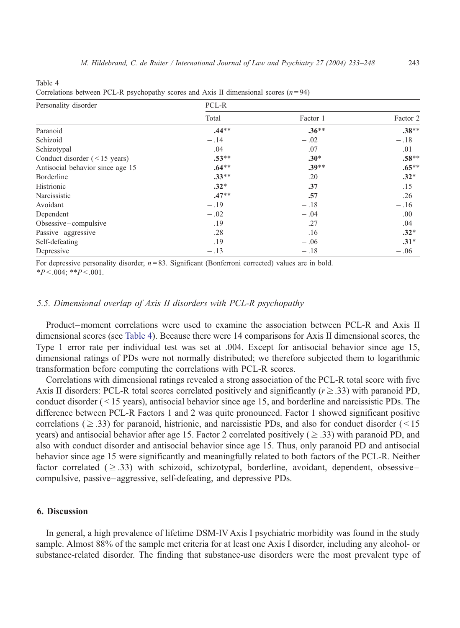Table 4

| Correlations between PCL-R psychopathy scores and Axis II dimensional scores $(n=94)$ |         |          |          |  |  |  |
|---------------------------------------------------------------------------------------|---------|----------|----------|--|--|--|
| Personality disorder                                                                  | PCL-R   |          |          |  |  |  |
|                                                                                       | Total   | Factor 1 | Factor 2 |  |  |  |
| Paranoid                                                                              | $.44**$ | $.36**$  | $.38**$  |  |  |  |
| Schizoid                                                                              | $-.14$  | $-.02$   | $-.18$   |  |  |  |
| Schizotypal                                                                           | .04     | .07      | .01      |  |  |  |
| Conduct disorder $(< 15$ years)                                                       | $.53**$ | $.30*$   | $.58**$  |  |  |  |
| Antisocial behavior since age 15                                                      | $.64**$ | $.39**$  | $.65***$ |  |  |  |
| Borderline                                                                            | $.33**$ | .20      | $.32*$   |  |  |  |
| Histrionic                                                                            | $.32*$  | .37      | .15      |  |  |  |
| Narcissistic                                                                          | $.47**$ | .57      | .26      |  |  |  |
| Avoidant                                                                              | $-.19$  | $-.18$   | $-.16$   |  |  |  |
| Dependent                                                                             | $-.02$  | $-.04$   | .00.     |  |  |  |
| Obsessive-compulsive                                                                  | .19     | .27      | .04      |  |  |  |
| Passive-aggressive                                                                    | .28     | .16      | $.32*$   |  |  |  |
| Self-defeating                                                                        | .19     | $-.06$   | $.31*$   |  |  |  |

Depressive  $-13$   $-18$   $-16$ 

Correlations between PCL-R psychopathy scores and Axis II dimensional scores ( $n = 94$ )

For depressive personality disorder,  $n = 83$ . Significant (Bonferroni corrected) values are in bold.  $*P < .004$ ;  $*P < .001$ .

#### 5.5. Dimensional overlap of Axis II disorders with PCL-R psychopathy

Product–moment correlations were used to examine the association between PCL-R and Axis II dimensional scores (see Table 4). Because there were 14 comparisons for Axis II dimensional scores, the Type 1 error rate per individual test was set at .004. Except for antisocial behavior since age 15, dimensional ratings of PDs were not normally distributed; we therefore subjected them to logarithmic transformation before computing the correlations with PCL-R scores.

Correlations with dimensional ratings revealed a strong association of the PCL-R total score with five Axis II disorders: PCL-R total scores correlated positively and significantly  $(r \ge 0.33)$  with paranoid PD, conduct disorder  $($  < 15 years), antisocial behavior since age 15, and borderline and narcissistic PDs. The difference between PCL-R Factors 1 and 2 was quite pronounced. Factor 1 showed significant positive correlations ( $\geq$  .33) for paranoid, histrionic, and narcissistic PDs, and also for conduct disorder ( $\leq$  15 years) and antisocial behavior after age 15. Factor 2 correlated positively ( $\geq$  .33) with paranoid PD, and also with conduct disorder and antisocial behavior since age 15. Thus, only paranoid PD and antisocial behavior since age 15 were significantly and meaningfully related to both factors of the PCL-R. Neither factor correlated ( $\geq$  .33) with schizoid, schizotypal, borderline, avoidant, dependent, obsessive– compulsive, passive–aggressive, self-defeating, and depressive PDs.

# 6. Discussion

In general, a high prevalence of lifetime DSM-IV Axis I psychiatric morbidity was found in the study sample. Almost 88% of the sample met criteria for at least one Axis I disorder, including any alcohol- or substance-related disorder. The finding that substance-use disorders were the most prevalent type of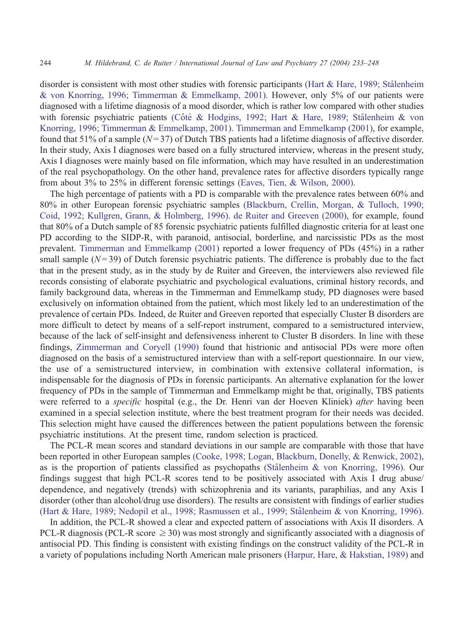disorder is consistent with most other studies with forensic participants (Hart & Hare, 1989; Stålenheim & von Knorring, 1996; Timmerman & Emmelkamp, 2001). However, only 5% of our patients were diagnosed with a lifetime diagnosis of a mood disorder, which is rather low compared with other studies with forensic psychiatric patients (Côté & Hodgins, 1992; Hart & Hare, 1989; Stålenheim & von Knorring, 1996; Timmerman & Emmelkamp, 2001). [Timmerman and Emmelkamp \(2001\),](#page-14-0) for example, found that 51% of a sample ( $N = 37$ ) of Dutch TBS patients had a lifetime diagnosis of affective disorder. In their study, Axis I diagnoses were based on a fully structured interview, whereas in the present study, Axis I diagnoses were mainly based on file information, which may have resulted in an underestimation of the real psychopathology. On the other hand, prevalence rates for affective disorders typically range from about 3% to 25% in different forensic settings [\(Eaves, Tien, & Wilson, 2000\).](#page-13-0)

The high percentage of patients with a PD is comparable with the prevalence rates between 60% and 80% in other European forensic psychiatric samples [\(Blackburn, Crellin, Morgan, & Tulloch, 1990;](#page-13-0) Coid, 1992; Kullgren, Grann, & Holmberg, 1996). [de Ruiter and Greeven \(2000\),](#page-13-0) for example, found that 80% of a Dutch sample of 85 forensic psychiatric patients fulfilled diagnostic criteria for at least one PD according to the SIDP-R, with paranoid, antisocial, borderline, and narcissistic PDs as the most prevalent. [Timmerman and Emmelkamp \(2001\)](#page-14-0) reported a lower frequency of PDs (45%) in a rather small sample  $(N=39)$  of Dutch forensic psychiatric patients. The difference is probably due to the fact that in the present study, as in the study by de Ruiter and Greeven, the interviewers also reviewed file records consisting of elaborate psychiatric and psychological evaluations, criminal history records, and family background data, whereas in the Timmerman and Emmelkamp study, PD diagnoses were based exclusively on information obtained from the patient, which most likely led to an underestimation of the prevalence of certain PDs. Indeed, de Ruiter and Greeven reported that especially Cluster B disorders are more difficult to detect by means of a self-report instrument, compared to a semistructured interview, because of the lack of self-insight and defensiveness inherent to Cluster B disorders. In line with these findings, [Zimmerman and Coryell \(1990\)](#page-15-0) found that histrionic and antisocial PDs were more often diagnosed on the basis of a semistructured interview than with a self-report questionnaire. In our view, the use of a semistructured interview, in combination with extensive collateral information, is indispensable for the diagnosis of PDs in forensic participants. An alternative explanation for the lower frequency of PDs in the sample of Timmerman and Emmelkamp might be that, originally, TBS patients were referred to a *specific* hospital (e.g., the Dr. Henri van der Hoeven Kliniek) *after* having been examined in a special selection institute, where the best treatment program for their needs was decided. This selection might have caused the differences between the patient populations between the forensic psychiatric institutions. At the present time, random selection is practiced.

The PCL-R mean scores and standard deviations in our sample are comparable with those that have been reported in other European samples [\(Cooke, 1998; Logan, Blackburn, Donelly, & Renwick, 2002\),](#page-13-0) as is the proportion of patients classified as psychopaths (Stålenheim  $\&$  von Knorring, 1996). Our findings suggest that high PCL-R scores tend to be positively associated with Axis I drug abuse/ dependence, and negatively (trends) with schizophrenia and its variants, paraphilias, and any Axis I disorder (other than alcohol/drug use disorders). The results are consistent with findings of earlier studies (Hart & Hare, 1989; Nedopil et al., 1998; Rasmussen et al., 1999; Stålenheim & von Knorring, 1996).

In addition, the PCL-R showed a clear and expected pattern of associations with Axis II disorders. A PCL-R diagnosis (PCL-R score  $\geq$  30) was most strongly and significantly associated with a diagnosis of antisocial PD. This finding is consistent with existing findings on the construct validity of the PCL-R in a variety of populations including North American male prisoners [\(Harpur, Hare, & Hakstian, 1989\)](#page-14-0) and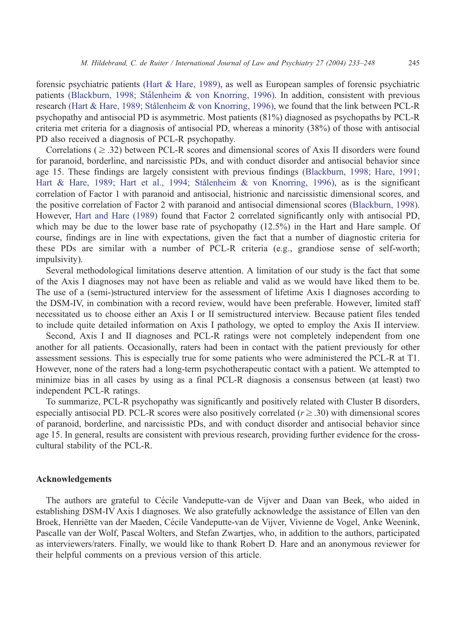forensic psychiatric patients [\(Hart & Hare, 1989\),](#page-14-0) as well as European samples of forensic psychiatric patients (Blackburn, 1998; Stålenheim & von Knorring, 1996). In addition, consistent with previous research (Hart & Hare, 1989; Stålenheim & von Knorring, 1996), we found that the link between PCL-R psychopathy and antisocial PD is asymmetric. Most patients (81%) diagnosed as psychopaths by PCL-R criteria met criteria for a diagnosis of antisocial PD, whereas a minority (38%) of those with antisocial PD also received a diagnosis of PCL-R psychopathy.

Correlations ( $\geq$  .32) between PCL-R scores and dimensional scores of Axis II disorders were found for paranoid, borderline, and narcissistic PDs, and with conduct disorder and antisocial behavior since age 15. These findings are largely consistent with previous findings [\(Blackburn, 1998; Hare, 1991;](#page-13-0) Hart & Hare, 1989; Hart et al., 1994; Stålenheim & von Knorring, 1996), as is the significant correlation of Factor 1 with paranoid and antisocial, histrionic and narcissistic dimensional scores, and the positive correlation of Factor 2 with paranoid and antisocial dimensional scores [\(Blackburn, 1998\).](#page-13-0) However, [Hart and Hare \(1989\)](#page-14-0) found that Factor 2 correlated significantly only with antisocial PD, which may be due to the lower base rate of psychopathy  $(12.5%)$  in the Hart and Hare sample. Of course, findings are in line with expectations, given the fact that a number of diagnostic criteria for these PDs are similar with a number of PCL-R criteria (e.g., grandiose sense of self-worth; impulsivity).

Several methodological limitations deserve attention. A limitation of our study is the fact that some of the Axis I diagnoses may not have been as reliable and valid as we would have liked them to be. The use of a (semi-)structured interview for the assessment of lifetime Axis I diagnoses according to the DSM-IV, in combination with a record review, would have been preferable. However, limited staff necessitated us to choose either an Axis I or II semistructured interview. Because patient files tended to include quite detailed information on Axis I pathology, we opted to employ the Axis II interview.

Second, Axis I and II diagnoses and PCL-R ratings were not completely independent from one another for all patients. Occasionally, raters had been in contact with the patient previously for other assessment sessions. This is especially true for some patients who were administered the PCL-R at T1. However, none of the raters had a long-term psychotherapeutic contact with a patient. We attempted to minimize bias in all cases by using as a final PCL-R diagnosis a consensus between (at least) two independent PCL-R ratings.

To summarize, PCL-R psychopathy was significantly and positively related with Cluster B disorders, especially antisocial PD. PCL-R scores were also positively correlated ( $r \geq .30$ ) with dimensional scores of paranoid, borderline, and narcissistic PDs, and with conduct disorder and antisocial behavior since age 15. In general, results are consistent with previous research, providing further evidence for the crosscultural stability of the PCL-R.

#### Acknowledgements

The authors are grateful to Cécile Vandeputte-van de Vijver and Daan van Beek, who aided in establishing DSM-IV Axis I diagnoses. We also gratefully acknowledge the assistance of Ellen van den Broek, Henriëtte van der Maeden, Cécile Vandeputte-van de Vijver, Vivienne de Vogel, Anke Weenink, Pascalle van der Wolf, Pascal Wolters, and Stefan Zwartjes, who, in addition to the authors, participated as interviewers/raters. Finally, we would like to thank Robert D. Hare and an anonymous reviewer for their helpful comments on a previous version of this article.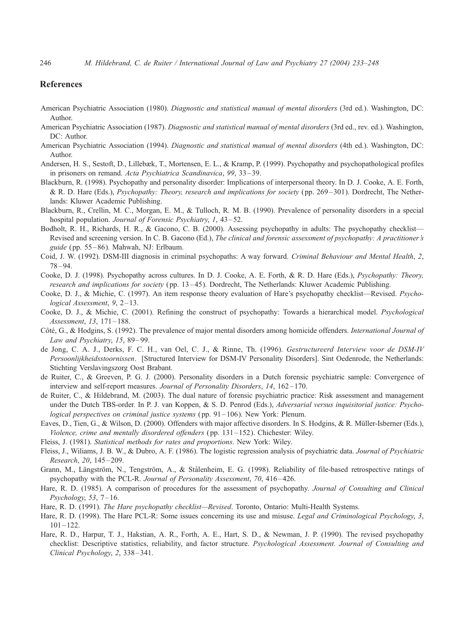## <span id="page-13-0"></span>References

- American Psychiatric Association (1980). Diagnostic and statistical manual of mental disorders (3rd ed.). Washington, DC: Author.
- American Psychiatric Association (1987). Diagnostic and statistical manual of mental disorders (3rd ed., rev. ed.). Washington, DC: Author.
- American Psychiatric Association (1994). Diagnostic and statistical manual of mental disorders (4th ed.). Washington, DC: Author.
- Andersen, H. S., Sestoft, D., Lillebæk, T., Mortensen, E. L., & Kramp, P. (1999). Psychopathy and psychopathological profiles in prisoners on remand. Acta Psychiatrica Scandinavica, 99, 33 – 39.
- Blackburn, R. (1998). Psychopathy and personality disorder: Implications of interpersonal theory. In D. J. Cooke, A. E. Forth, & R. D. Hare (Eds.), Psychopathy: Theory, research and implications for society ( pp. 269 – 301). Dordrecht, The Netherlands: Kluwer Academic Publishing.
- Blackburn, R., Crellin, M. C., Morgan, E. M., & Tulloch, R. M. B. (1990). Prevalence of personality disorders in a special hospital population. Journal of Forensic Psychiatry, 1, 43–52.
- Bodholt, R. H., Richards, H. R., & Gacono, C. B. (2000). Assessing psychopathy in adults: The psychopathy checklist— Revised and screening version. In C. B. Gacono (Ed.), The clinical and forensic assessment of psychopathy: A practitioner's guide ( pp. 55 – 86). Mahwah, NJ: Erlbaum.
- Coid, J. W. (1992). DSM-III diagnosis in criminal psychopaths: A way forward. Criminal Behaviour and Mental Health, 2, 78 – 94.
- Cooke, D. J. (1998). Psychopathy across cultures. In D. J. Cooke, A. E. Forth, & R. D. Hare (Eds.), Psychopathy: Theory, research and implications for society ( pp. 13 – 45). Dordrecht, The Netherlands: Kluwer Academic Publishing.
- Cooke, D. J., & Michie, C. (1997). An item response theory evaluation of Hare's psychopathy checklist—Revised. Psychological Assessment,  $9, 2-13$ .
- Cooke, D. J., & Michie, C. (2001). Refining the construct of psychopathy: Towards a hierarchical model. Psychological Assessment, 13, 171-188.
- Côté, G., & Hodgins, S. (1992). The prevalence of major mental disorders among homicide offenders. International Journal of Law and Psychiatry, 15, 89-99.
- de Jong, C. A. J., Derks, F. C. H., van Oel, C. J., & Rinne, Th. (1996). Gestructureerd Interview voor de DSM-IV Persoonlijkheidsstoornissen. [Structured Interview for DSM-IV Personality Disorders]. Sint Oedenrode, the Netherlands: Stichting Verslavingszorg Oost Brabant.
- de Ruiter, C., & Greeven, P. G. J. (2000). Personality disorders in a Dutch forensic psychiatric sample: Convergence of interview and self-report measures. Journal of Personality Disorders, 14, 162-170.
- de Ruiter, C., & Hildebrand, M. (2003). The dual nature of forensic psychiatric practice: Risk assessment and management under the Dutch TBS-order. In P. J. van Koppen, & S. D. Penrod (Eds.), Adversarial versus inquisitorial justice: Psychological perspectives on criminal justice systems ( $pp. 91-106$ ). New York: Plenum.
- Eaves, D., Tien, G., & Wilson, D. (2000). Offenders with major affective disorders. In S. Hodgins, & R. Müller-Isberner (Eds.), Violence, crime and mentally disordered offenders ( $pp. 131-152$ ). Chichester: Wiley.
- Fleiss, J. (1981). Statistical methods for rates and proportions. New York: Wiley.
- Fleiss, J., Wiliams, J. B. W., & Dubro, A. F. (1986). The logistic regression analysis of psychiatric data. Journal of Psychiatric Research, 20, 145 – 209.
- Grann, M., Längström, N., Tengström, A., & Stålenheim, E. G. (1998). Reliability of file-based retrospective ratings of psychopathy with the PCL-R. Journal of Personality Assessment, 70, 416 – 426.
- Hare, R. D. (1985). A comparison of procedures for the assessment of psychopathy. Journal of Consulting and Clinical Psychology, 53, 7 – 16.
- Hare, R. D. (1991). The Hare psychopathy checklist—Revised. Toronto, Ontario: Multi-Health Systems.
- Hare, R. D. (1998). The Hare PCL-R: Some issues concerning its use and misuse. Legal and Criminological Psychology, 3,  $101 - 122$ .
- Hare, R. D., Harpur, T. J., Hakstian, A. R., Forth, A. E., Hart, S. D., & Newman, J. P. (1990). The revised psychopathy checklist: Descriptive statistics, reliability, and factor structure. Psychological Assessment. Journal of Consulting and Clinical Psychology, 2, 338 – 341.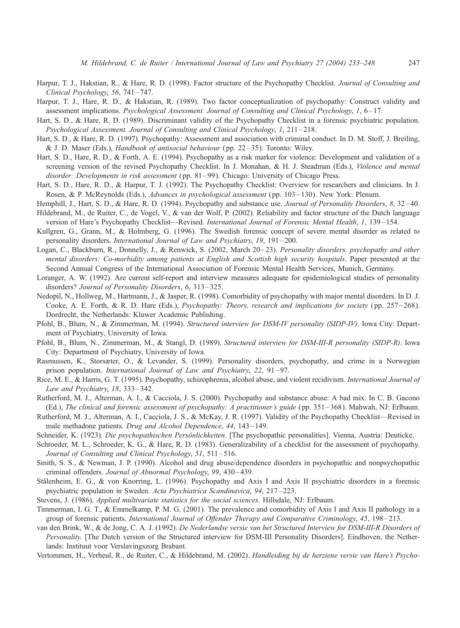- <span id="page-14-0"></span>Harpur, T. J., Hakstian, R., & Hare, R. D. (1998). Factor structure of the Psychopathy Checklist. Journal of Consulting and Clinical Psychology, 56, 741-747.
- Harpur, T. J., Hare, R. D., & Hakstian, R. (1989). Two factor conceptualization of psychopathy: Construct validity and assessment implications. Psychological Assessment. Journal of Consulting and Clinical Psychology, 1, 6 – 17.
- Hart, S. D., & Hare, R. D. (1989). Discriminant validity of the Psychopathy Checklist in a forensic psychiatric population. Psychological Assessment. Journal of Consulting and Clinical Psychology, 1, 211 – 218.
- Hart, S. D., & Hare, R. D. (1997). Psychopathy: Assessment and association with criminal conduct. In D. M. Stoff, J. Breiling, & J. D. Maser (Eds.), Handbook of antisocial behaviour ( pp. 22 – 35). Toronto: Wiley.
- Hart, S. D., Hare, R. D., & Forth, A. E. (1994). Psychopathy as a risk marker for violence: Development and validation of a screening version of the revised Psychopathy Checklist. In J. Monahan, & H. J. Steadman (Eds.), Violence and mental disorder: Developments in risk assessment (pp. 81-99). Chicago: University of Chicago Press.
- Hart, S. D., Hare, R. D., & Harpur, T. J. (1992). The Psychopathy Checklist: Overview for researchers and clinicians. In J. Rosen, & P. McReynolds (Eds.), *Advances in psychological assessment* (pp. 103–130). New York: Plenum.
- Hemphill, J., Hart, S. D., & Hare, R. D. (1994). Psychopathy and substance use. Journal of Personality Disorders, 8, 32-40. Hildebrand, M., de Ruiter, C., de Vogel, V., & van der Wolf, P. (2002). Reliability and factor structure of the Dutch language
- version of Hare's Psychopathy Checklist—Revised. International Journal of Forensic Mental Health, 1, 139 154. Kullgren, G., Grann, M., & Holmberg, G. (1996). The Swedish forensic concept of severe mental disorder as related to

personality disorders. International Journal of Law and Psychiatry, 19, 191 – 200.

- Logan, C., Blackburn, R., Donnelly, J., & Renwick, S. (2002, March 20-23). Personality disorders, psychopathy and other mental disorders: Co-morbidity among patients at English and Scottish high security hospitals. Paper presented at the Second Annual Congress of the International Association of Forensic Mental Health Services, Munich, Germany.
- Loranger, A. W. (1992). Are current self-report and interview measures adequate for epidemiological studies of personality disorders? Journal of Personality Disorders, 6, 313 – 325.
- Nedopil, N., Hollweg, M., Hartmann, J., & Jasper, R. (1998). Comorbidity of psychopathy with major mental disorders. In D. J. Cooke, A. E. Forth, & R. D. Hare (Eds.), *Psychopathy: Theory, research and implications for society* (pp. 257–268). Dordrecht, the Netherlands: Kluwer Academic Publishing.
- Pfohl, B., Blum, N., & Zimmerman, M. (1994). Structured interview for DSM-IV personality (SIDP-IV). Iowa City: Department of Psychiatry, University of Iowa.
- Pfohl, B., Blum, N., Zimmerman, M., & Stangl, D. (1989). Structured interview for DSM-III-R personality (SIDP-R). Iowa City: Department of Psychiatry, University of Iowa.
- Rasmussen, K., Storsæter, O., & Levander, S. (1999). Personality disorders, psychopathy, and crime in a Norwegian prison population. *International Journal of Law and Psychiatry*, 22, 91–97.
- Rice, M. E., & Harris, G. T. (1995). Psychopathy, schizophrenia, alcohol abuse, and violent recidivism. International Journal of Law and Psychiatry, 18, 333-342.
- Rutherford, M. J., Alterman, A. I., & Cacciola, J. S. (2000). Psychopathy and substance abuse: A bad mix. In C. B. Gacono (Ed.), The clinical and forensic assessment of psychopathy: A practitioner's guide ( pp. 351 – 368). Mahwah, NJ: Erlbaum.
- Rutherford, M. J., Alterman, A. I., Cacciola, J. S., & McKay, J. R. (1997). Validity of the Psychopathy Checklist—Revised in male methadone patients. Drug and Alcohol Dependence, 44, 143-149.
- Schneider, K. (1923). Die psychopathischen Persönlichkeiten. [The psychopathic personalities]. Vienna, Austria: Deuticke.
- Schroeder, M. L., Schroeder, K. G., & Hare, R. D. (1983). Generalizability of a checklist for the assessment of psychopathy. Journal of Consulting and Clinical Psychology, 51, 511-516.
- Smith, S. S., & Newman, J. P. (1990). Alcohol and drug abuse/dependence disorders in psychopathic and nonpsychopathic criminal offenders. Journal of Abnormal Psychology, 99, 430-439.
- Stålenheim, E. G., & von Knorring, L. (1996). Psychopathy and Axis I and Axis II psychiatric disorders in a forensic psychiatric population in Sweden. Acta Psychiatrica Scandinavica, 94, 217 – 223.
- Stevens, J. (1986). Applied multivariate statistics for the social sciences. Hillsdale, NJ: Erlbaum.
- Timmerman, I. G. T., & Emmelkamp, P. M. G. (2001). The prevalence and comorbidity of Axis I and Axis II pathology in a group of forensic patients. International Journal of Offender Therapy and Comparative Criminology, 45, 198–213.
- van den Brink, W., & de Jong, C. A. J. (1992). De Nederlandse versie van het Structured Interview for DSM-III-R Disorders of Personality. [The Dutch version of the Structured interview for DSM-III Personality Disorders]. Eindhoven, the Netherlands: Instituut voor Verslavingszorg Brabant.

Vertommen, H., Verheul, R., de Ruiter, C., & Hildebrand, M. (2002). Handleiding bij de herziene versie van Hare's Psycho-